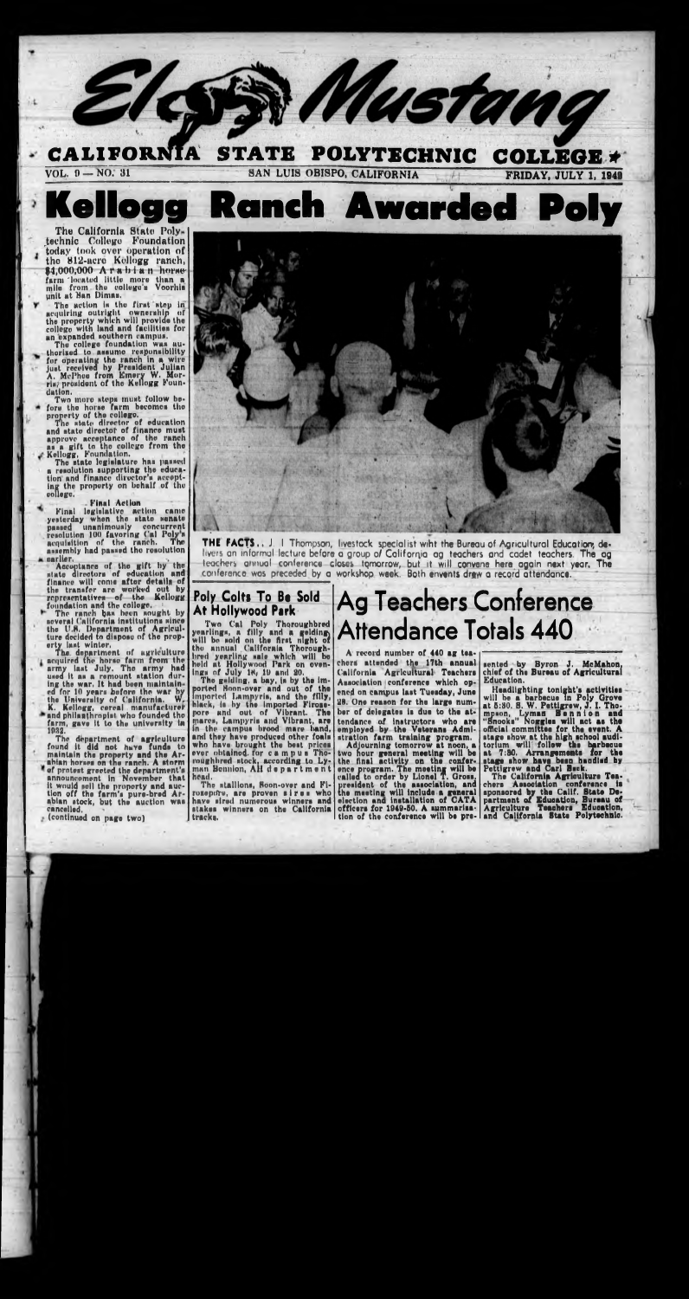

# **Kellogg Ranch Awarded Poly**

The California State Polytechnic College Foundation today took over operation of the 812-acro Kellogg ranch,  $$4,000,000$  A rabian horse farm 'located little more than a mile from the college's Voorhis unit «t Man Dimas.

The action is the first step in acquiring outright ownership of the property which will provide tho college with land and facilities for an expanded southern campus.

The college foundation was thorized to assume responsibility for operating the ranch In a wire Just received hy President Julian A, Mel'hcu from Emery W. Morris/ president of the Kellogg Foun-

The state legislature has passed a resolution supporting the education and finance director's accepting tho property on behalf of thu soilage.

earlier.<br>Acceptance of the gift by the state directors of education and finance will come aftor detalli of the transfer are worked out by representatives of the Kellogg foundation and the college, '

dation. Two more steps must follow before tho horse farm bocomes the property of tho college.

The state director of education and state director of finance must approve acceptance of the ranch as a gift to the college from the Kellogg, Foundation.

farm, gave It to the university In 1932.

-Final Action

Final legislative action came yesterday when the state senate passed unanimously concurrent resolution 100 favoring t'al Poly s acquisition of the ranch. The assembly had passed tho resolution

## **Poly Colts To Be Sold** At Hollywood Park

The ranch baa been sought by several California institutions since the U.H. Department of Agriculture decided to dlsposu of the property last winter. The department of ugrlculturc

> ings of July  $1\%$  19 and 20. The **gelding,** a bay, Is by the lmported Hoon-over and out of the<br>imported Lamnyris, and the filly,<br>black, is by the imported Fironepore and out of Vibrant. The rpares, Lampyrls and Vibrant, aro in the campus brood mare hand, ami they have producsd other foals who have brought the best prices over obtained, ror campus Tho-**I'ongbbred** stock, according to Lyroughbred stock, according to Ly-<br>man Bennion, AH department head.

> The stallions, Soon-over and Firozepore, are proven sires who havo sired numerous winners and stakes winners on tho California tracks.

## **Ag Teachers Conference Attendance Totals 440**

acquired the horse farm from the army Inst July. The army had used it as a remount station during the war. It hud been maintain ed for 10 years before the war hy the University of California.  $W_f$ K. Kellogg, cereal manufacturer and philanthropist who founded the

The department of agriculture found It did not have funds to maintain the property and the Arabian horses on the ranch. A atorm of protest greeted the department's announcement in November that it would sell the property and auction off the farm's pure-bred Arabian stock, but the auction wns cancelled.

(continued on page two)



**THE FACTS..** J. I Thompson, livestock specialist wiht the Bureau of Agricultural Education; delivers an informal lecture before a group *ol* California ag teachers and cadet teachers. The ag teachers annual conference closes tomorrow, but it will convene here again next year. The conference was preceded by a workshop week. Both envents drew a record attendance.

Two Cal Poly Thoroughbred yearlings, a filly and a gelding will bo sold on tho first night of tho annual California Thoroughbred yearling sale which will be held at Hollywood Park on oven-

A record number of 440 ag teachert attended the 17th annual California Agricultural Teachers Association conference which opened on campus last Tuesday, Juno 28. One reason for the large number of delegatee Is due to the attendance of instructors who are employed by the Veterans Admistratlon farm training program.

Adjourning tomorrow at noon, a two hour general meeting will be the final activity on the conference program. The meeting will be called to order by Lionel T. Gross. president of the association, and<br>the meeting will include a general<br>election and installation of CATA to meeting will include a general lection and installation of CATA officers for 1040-60. A summarisation of the conference will be pre-

sented by Byron J. McMahon, chief of the Bureau of Agricultural Education.

Headlighting tonight's activities will be a barbecue in Poly Grove at 6:80. S. W. Pettigrew, J. 1. Thompson, Lyman B a n n i o n and "Snooks" Noggles will act at the official committee for the event. A stage show at the high school auditorium will' follow the barbecue at 7:80. Arrangements for the stage show have been handled by Pettigrew and Carl Beck.

The California Agriculture Teachers Association conference is sponsored by the Calif. State Department of Education, Bureau of Agriculture Teachers Education, and California State Polytechnic.

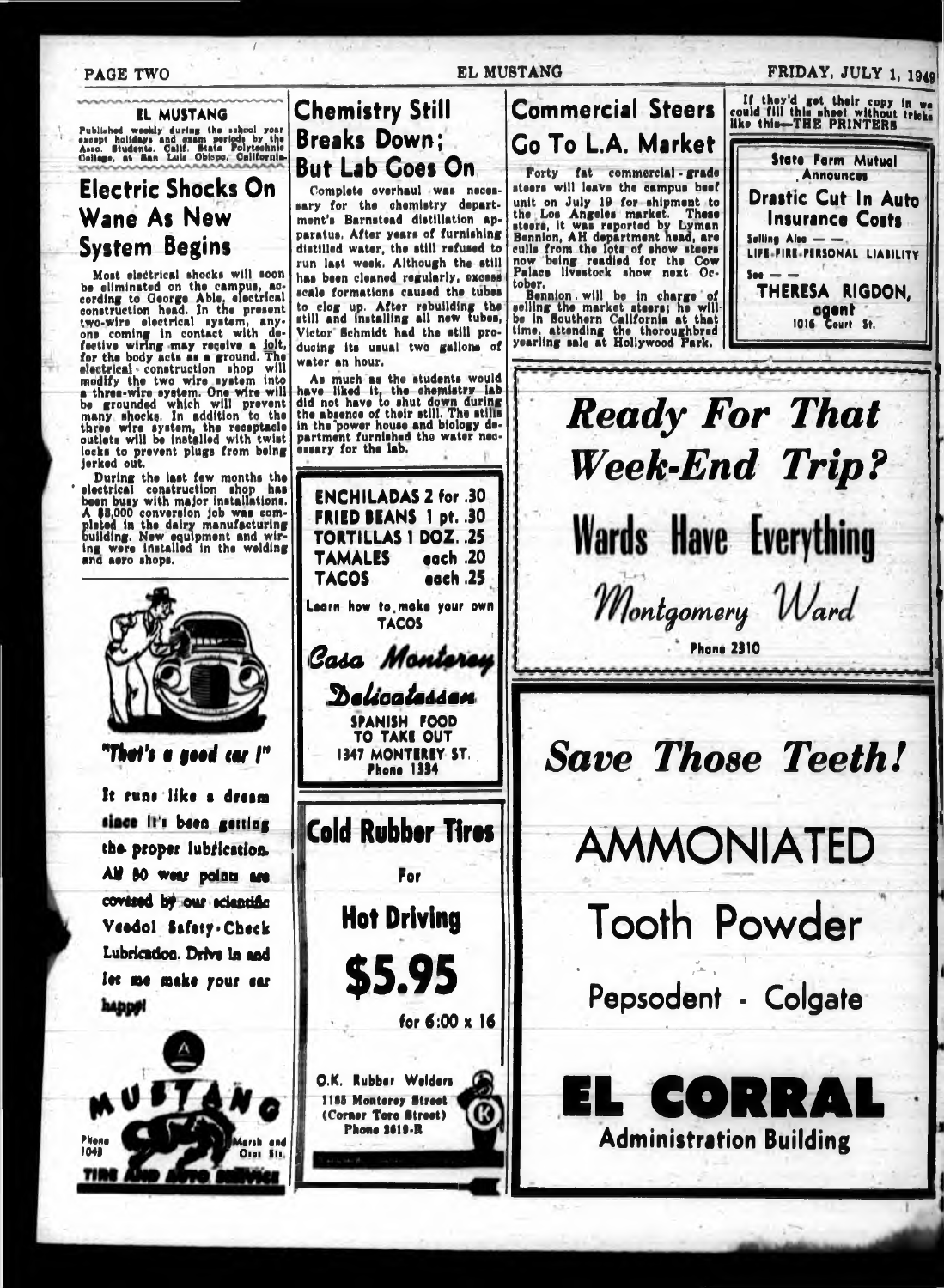### **PAGE TWO**

**EL MUSTANG** Published weekly during the school year<br>except holidays and exam periods by the<br>Asso. Biudents. Calif. Stats Polytechnic<br>College, at San Luis Obispo. California.

## **Electric Shocks On** Wane As New **System Begins**

Most electrical shocks will soon most electrical shocks will soon<br>be eliminated on the campus, ac-<br>cording to George Able, electrical<br>construction head. In the present<br>two-wire electrical system, any-<br>one coming in contact with de-<br>feetive wiring-may rece for the body acts as a ground. The<br>electrical - construction shop will<br>medify the two wire system into<br>a-three-wire-system. One-wire-will-<br>be grounded which will prevent<br>many shocks. In addition to the<br>three wire system, t locks to prevent plugs from being jerked out.

Jerseu out.<br>
During the last few months the<br>
electrical construction shop has<br>
been busy with major installations.<br>
A \$5,000 conversion job was com-<br>
pleted in the dairy manufacturing<br>
building. New equipment and wir-<br>
ing



water an hour.

It runs like a dream since it's been getting the proper lubrication. All 80 wear points are covered by our eclentific Veedol Safety - Check Lubricadon. Drive in and let me make your ear happy!



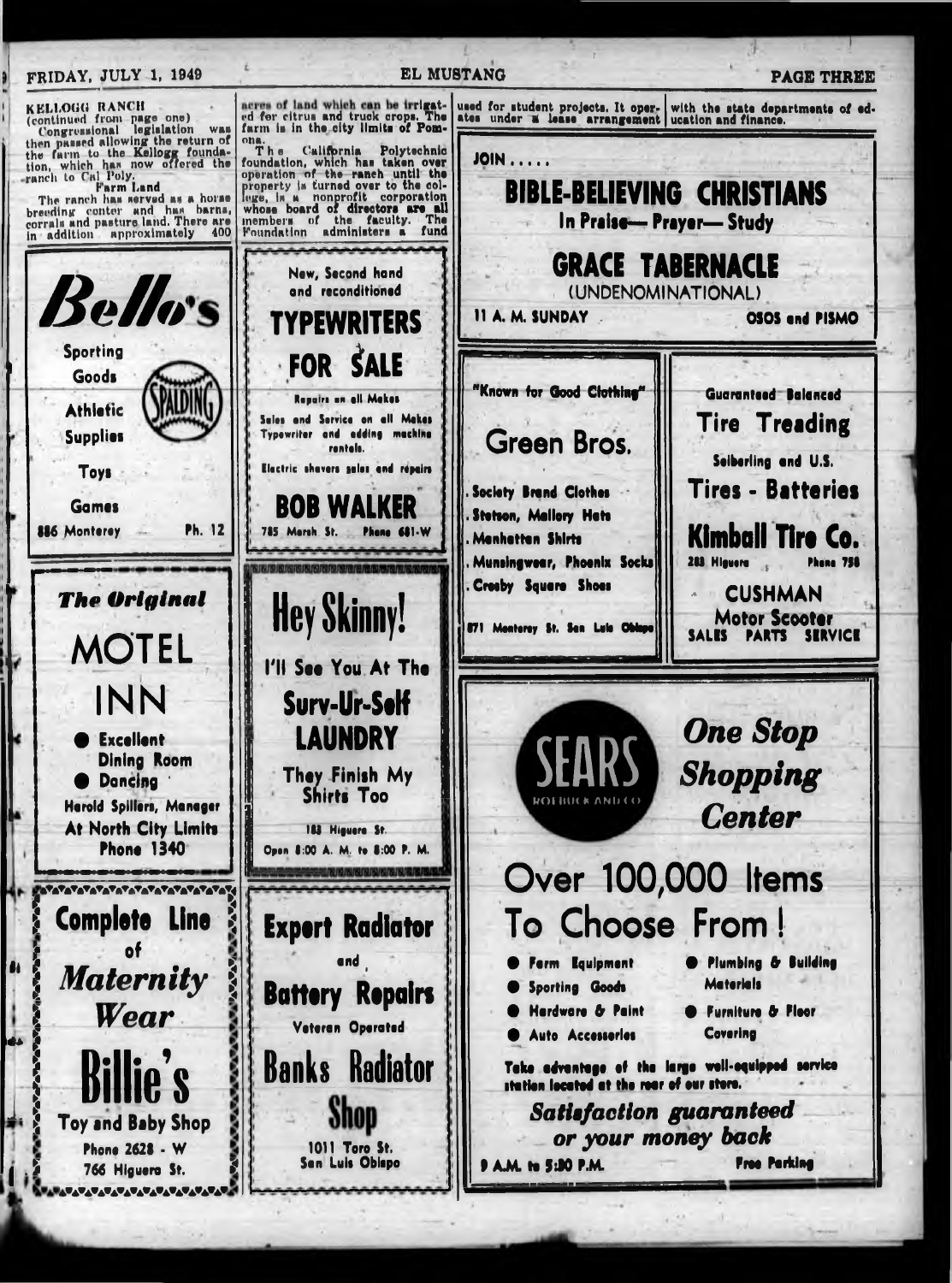#### **EL MUSTANG** FRIDAY, JULY 1, 1949 KELLOGG RANCH<br>(continued from page one)<br>(continued from legislation acres of land which can be trrigated for citrus and truck crops. The farm is in the city limits of Pomused for student projects. It operates under a lease arrangement with the state departments of ed-<br>ucation and finance. Congressional legislation was<br>then passed allowing the return of<br>the farm to the Kellogg founda-<br>tion, which has now offered the<br>ranch to Cal Poly.<br>Farm Land<br>The ranch has served as a horse<br>breeding conter and has barns,<br>c WAL ona.<br>The The California Polytechnic<br>foundation, which has taken over<br>operation of the ranch until the<br>property is turned over to the col-**JOIN..... BIBLE-BELIEVING CHRISTIANS** property is turned that the corporation<br>whose board of directors are all<br>members of the faculty. The<br>ministers a fund In Praise-Prayer-Study Foundation administers a fund in addition approximately 400 **GRACE TABERNACLE** New, Second hand Bellos and reconditioned (UNDENOMINATIONAL) 11 A. M. SUNDAY OSOS and PISMO YPEWRITERS Sportina **FOR SALE** Goods Known for Good Clothing" **Guaranteed Balanced** Repairs on all Meket **Athlefic Tire Treading** Sales and Service on all Makes Typewriter and adding machine **Supplies Green Bros.** rentals. Seiberling and U.S. Electric shovers solos and repairs **Toys**

**The Original MOTEL** INN Excellent **Dining Room O** Dancina **Herold Spillers, Manager** At North City Limits **Phone 1340** 2222222222222222222222 **Complete Line**  $\mathbf{a}$ f **Maternity** Wear

766 Higuera St. <u>▓▓▞▓▞▞▞▞▞▞▞▞▞▞▞▞▞▞▞▞▞▞▞</u>

Games

886 Monterey

**Tires - Batteries Society Brand Clothes BOB WALKER Stetson, Mallory Hats** Ph. 12 785 Marsh. St. Phone 681-W Kimball Ti Menhetten Shirts Munsingwear, Phoenix Socks 283 Higuera Creeby Square Shoes **CUSHMAN Hey Skinny! Motor Scooter** 871 Menterey St. San Luis Oblege **SALES PARTS** I'll See You At 1 Surv-Ur-Self **One Stop LAUNDRY** Shopping They Finish My **Shirts Too Center** 183 Higuera St. Open 8:00 A. M. to 8:00 P. M. Over 100,000 Items To Choose From! **Expert Radiator** and Plumbing & Building Form Equipment **Materials Battery Repairs** Sporting Goods **Hardware & Paint S** Furniture & Fleor Veteran Operated Coverina Auto Accessories **Banks Radiator** Take advantage of the large well-equipped service station located at the rear of our store. **Satisfaction guaranteed** Toy and Baby Shop or your money back Phone 2628 - W 1011 Toro St.

**A.M. to 5:30 P.M.** 

San Luis Obispo

**PAGE THREE** 

ire Co.

**SERVICE** 

Free Parking